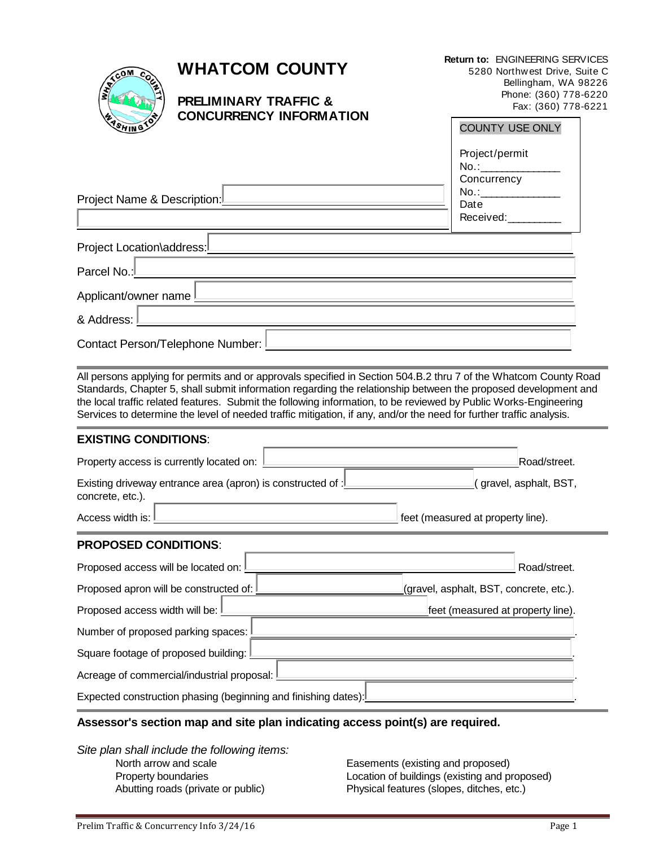|                                                                                                                                                                                                                                                                                                                                                                                                                                                                               | <b>WHATCOM COUNTY</b><br><b>PRELIMINARY TRAFFIC &amp;</b><br><b>CONCURRENCY INFORMATION</b> |  |  |  | <b>Return to: ENGINEERING SERVICES</b><br>5280 Northwest Drive, Suite C<br>Bellingham, WA 98226<br>Phone: (360) 778-6220<br>Fax: (360) 778-6221 |                                         |  |  |
|-------------------------------------------------------------------------------------------------------------------------------------------------------------------------------------------------------------------------------------------------------------------------------------------------------------------------------------------------------------------------------------------------------------------------------------------------------------------------------|---------------------------------------------------------------------------------------------|--|--|--|-------------------------------------------------------------------------------------------------------------------------------------------------|-----------------------------------------|--|--|
|                                                                                                                                                                                                                                                                                                                                                                                                                                                                               |                                                                                             |  |  |  |                                                                                                                                                 |                                         |  |  |
|                                                                                                                                                                                                                                                                                                                                                                                                                                                                               |                                                                                             |  |  |  | <b>COUNTY USE ONLY</b>                                                                                                                          |                                         |  |  |
|                                                                                                                                                                                                                                                                                                                                                                                                                                                                               |                                                                                             |  |  |  | Project/permit<br>No.:<br>Concurrency                                                                                                           |                                         |  |  |
| Project Name & Description:L                                                                                                                                                                                                                                                                                                                                                                                                                                                  |                                                                                             |  |  |  | Date                                                                                                                                            |                                         |  |  |
|                                                                                                                                                                                                                                                                                                                                                                                                                                                                               |                                                                                             |  |  |  | Received:                                                                                                                                       |                                         |  |  |
| Project Location\address:L                                                                                                                                                                                                                                                                                                                                                                                                                                                    |                                                                                             |  |  |  |                                                                                                                                                 |                                         |  |  |
| Parcel No.:                                                                                                                                                                                                                                                                                                                                                                                                                                                                   |                                                                                             |  |  |  |                                                                                                                                                 |                                         |  |  |
| Applicant/owner name I                                                                                                                                                                                                                                                                                                                                                                                                                                                        |                                                                                             |  |  |  |                                                                                                                                                 |                                         |  |  |
| & Address:                                                                                                                                                                                                                                                                                                                                                                                                                                                                    |                                                                                             |  |  |  |                                                                                                                                                 |                                         |  |  |
| Contact Person/Telephone Number: L                                                                                                                                                                                                                                                                                                                                                                                                                                            |                                                                                             |  |  |  |                                                                                                                                                 |                                         |  |  |
| All persons applying for permits and or approvals specified in Section 504.B.2 thru 7 of the Whatcom County Road<br>Standards, Chapter 5, shall submit information regarding the relationship between the proposed development and<br>the local traffic related features. Submit the following information, to be reviewed by Public Works-Engineering<br>Services to determine the level of needed traffic mitigation, if any, and/or the need for further traffic analysis. |                                                                                             |  |  |  |                                                                                                                                                 |                                         |  |  |
| <b>EXISTING CONDITIONS:</b>                                                                                                                                                                                                                                                                                                                                                                                                                                                   |                                                                                             |  |  |  |                                                                                                                                                 |                                         |  |  |
| Property access is currently located on:                                                                                                                                                                                                                                                                                                                                                                                                                                      |                                                                                             |  |  |  | Road/street.                                                                                                                                    |                                         |  |  |
| Existing driveway entrance area (apron) is constructed of : I<br>concrete, etc.).                                                                                                                                                                                                                                                                                                                                                                                             |                                                                                             |  |  |  |                                                                                                                                                 | <u>l</u> ( gravel, asphalt, BST,        |  |  |
| Access width is:                                                                                                                                                                                                                                                                                                                                                                                                                                                              |                                                                                             |  |  |  | feet (measured at property line).                                                                                                               |                                         |  |  |
| <b>PROPOSED CONDITIONS:</b>                                                                                                                                                                                                                                                                                                                                                                                                                                                   |                                                                                             |  |  |  |                                                                                                                                                 |                                         |  |  |
| Proposed access will be located on:                                                                                                                                                                                                                                                                                                                                                                                                                                           |                                                                                             |  |  |  |                                                                                                                                                 | Road/street.                            |  |  |
| Proposed apron will be constructed of:                                                                                                                                                                                                                                                                                                                                                                                                                                        |                                                                                             |  |  |  |                                                                                                                                                 | (gravel, asphalt, BST, concrete, etc.). |  |  |
| Proposed access width will be:                                                                                                                                                                                                                                                                                                                                                                                                                                                |                                                                                             |  |  |  |                                                                                                                                                 | feet (measured at property line).       |  |  |
| Number of proposed parking spaces:                                                                                                                                                                                                                                                                                                                                                                                                                                            |                                                                                             |  |  |  |                                                                                                                                                 |                                         |  |  |
| Square footage of proposed building:                                                                                                                                                                                                                                                                                                                                                                                                                                          |                                                                                             |  |  |  |                                                                                                                                                 |                                         |  |  |
| Acreage of commercial/industrial proposal:                                                                                                                                                                                                                                                                                                                                                                                                                                    |                                                                                             |  |  |  |                                                                                                                                                 |                                         |  |  |
| Expected construction phasing (beginning and finishing dates):                                                                                                                                                                                                                                                                                                                                                                                                                |                                                                                             |  |  |  |                                                                                                                                                 |                                         |  |  |
| Assessor's section man and site plan indicating access noint(s) are required                                                                                                                                                                                                                                                                                                                                                                                                  |                                                                                             |  |  |  |                                                                                                                                                 |                                         |  |  |

## **Assessor's section map and site plan indicating access point(s) are required.**

*Site plan shall include the following items:* North arrow and scale Easements (existing and proposed)

Property boundaries Location of buildings (existing and proposed) Abutting roads (private or public) Physical features (slopes, ditches, etc.)